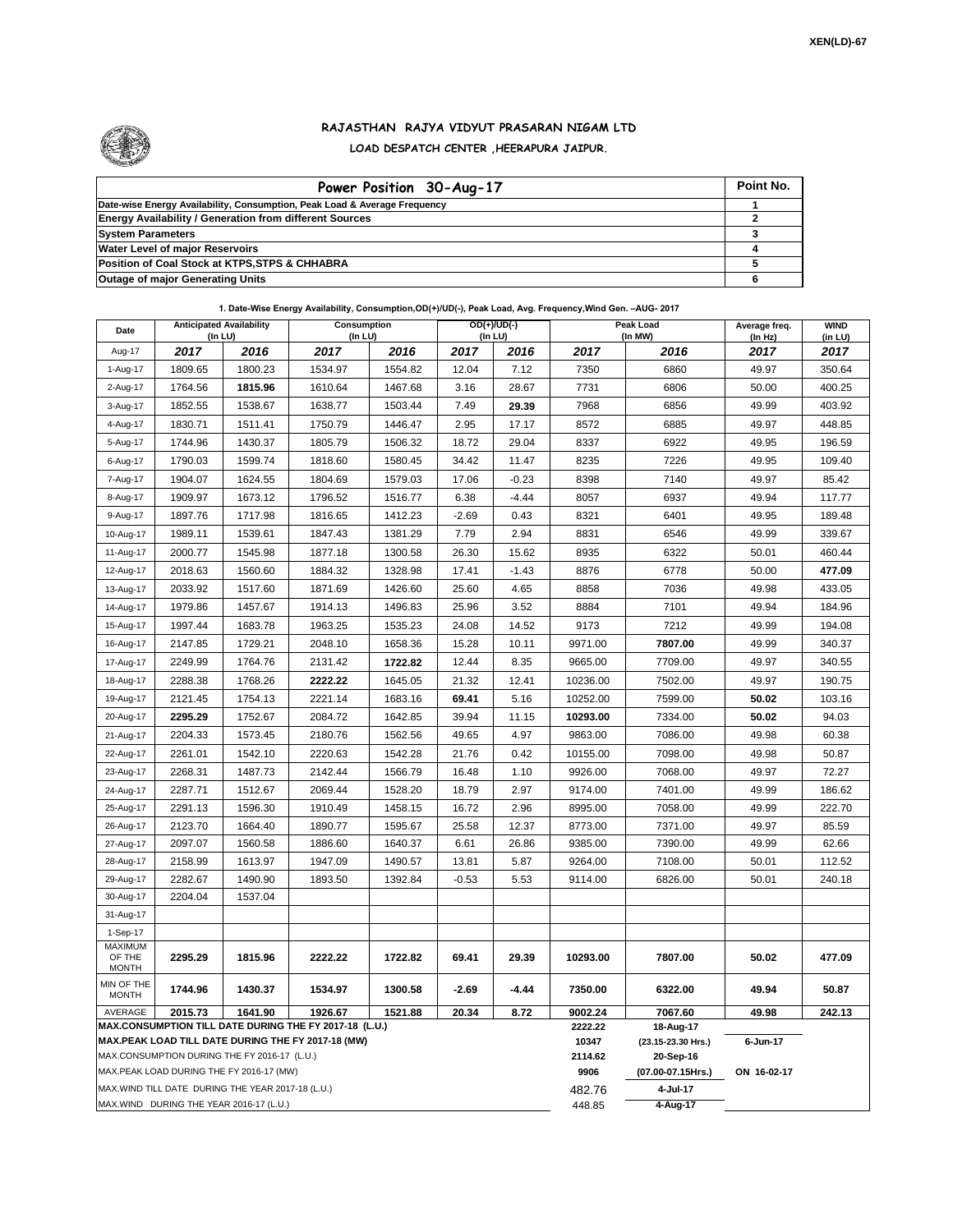

## **RAJASTHAN RAJYA VIDYUT PRASARAN NIGAM LTD LOAD DESPATCH CENTER ,HEERAPURA JAIPUR.**

| Power Position 30-Aug-17                                                  | Point No. |
|---------------------------------------------------------------------------|-----------|
| Date-wise Energy Availability, Consumption, Peak Load & Average Frequency |           |
| <b>Energy Availability / Generation from different Sources</b>            |           |
| <b>System Parameters</b>                                                  |           |
| <b>Water Level of major Reservoirs</b>                                    |           |
| Position of Coal Stock at KTPS, STPS & CHHABRA                            |           |
| <b>Outage of major Generating Units</b>                                   |           |

## **1. Date-Wise Energy Availability, Consumption,OD(+)/UD(-), Peak Load, Avg. Frequency,Wind Gen. –AUG- 2017**

| Date                                                                                                         | <b>Anticipated Availability</b><br>$($ In LU $)$ |         | Consumption<br>(In LU) |         | $OD(+)/UD(-)$<br>(In LU) |         |                  | Peak Load<br>(In MW)            | Average freq.<br>(In Hz) | <b>WIND</b><br>(in LU) |
|--------------------------------------------------------------------------------------------------------------|--------------------------------------------------|---------|------------------------|---------|--------------------------|---------|------------------|---------------------------------|--------------------------|------------------------|
| Aug-17                                                                                                       | 2017                                             | 2016    | 2017                   | 2016    | 2017                     | 2016    | 2017             | 2016                            | 2017                     | 2017                   |
| 1-Aug-17                                                                                                     | 1809.65                                          | 1800.23 | 1534.97                | 1554.82 | 12.04                    | 7.12    | 7350             | 6860                            | 49.97                    | 350.64                 |
| 2-Aug-17                                                                                                     | 1764.56                                          | 1815.96 | 1610.64                | 1467.68 | 3.16                     | 28.67   | 7731             | 6806                            | 50.00                    | 400.25                 |
| 3-Aug-17                                                                                                     | 1852.55                                          | 1538.67 | 1638.77                | 1503.44 | 7.49                     | 29.39   | 7968             | 6856                            | 49.99                    | 403.92                 |
| 4-Aug-17                                                                                                     | 1830.71                                          | 1511.41 | 1750.79                | 1446.47 | 2.95                     | 17.17   | 8572             | 6885                            | 49.97                    | 448.85                 |
| 5-Aug-17                                                                                                     | 1744.96                                          | 1430.37 | 1805.79                | 1506.32 | 18.72                    | 29.04   | 8337             | 6922                            | 49.95                    | 196.59                 |
| 6-Aug-17                                                                                                     | 1790.03                                          | 1599.74 | 1818.60                | 1580.45 | 34.42                    | 11.47   | 8235             | 7226                            | 49.95                    | 109.40                 |
| 7-Aug-17                                                                                                     | 1904.07                                          | 1624.55 | 1804.69                | 1579.03 | 17.06                    | $-0.23$ | 8398             | 7140                            | 49.97                    | 85.42                  |
| 8-Aug-17                                                                                                     | 1909.97                                          | 1673.12 | 1796.52                | 1516.77 | 6.38                     | $-4.44$ | 8057             | 6937                            | 49.94                    | 117.77                 |
| 9-Aug-17                                                                                                     | 1897.76                                          | 1717.98 | 1816.65                | 1412.23 | $-2.69$                  | 0.43    | 8321             | 6401                            | 49.95                    | 189.48                 |
| 10-Aug-17                                                                                                    | 1989.11                                          | 1539.61 | 1847.43                | 1381.29 | 7.79                     | 2.94    | 8831             | 6546                            | 49.99                    | 339.67                 |
| 11-Aug-17                                                                                                    | 2000.77                                          | 1545.98 | 1877.18                | 1300.58 | 26.30                    | 15.62   | 8935             | 6322                            | 50.01                    | 460.44                 |
| 12-Aug-17                                                                                                    | 2018.63                                          | 1560.60 | 1884.32                | 1328.98 | 17.41                    | $-1.43$ | 8876             | 6778                            | 50.00                    | 477.09                 |
| 13-Aug-17                                                                                                    | 2033.92                                          | 1517.60 | 1871.69                | 1426.60 | 25.60                    | 4.65    | 8858             | 7036                            | 49.98                    | 433.05                 |
| 14-Aug-17                                                                                                    | 1979.86                                          | 1457.67 | 1914.13                | 1496.83 | 25.96                    | 3.52    | 8884             | 7101                            | 49.94                    | 184.96                 |
| 15-Aug-17                                                                                                    | 1997.44                                          | 1683.78 | 1963.25                | 1535.23 | 24.08                    | 14.52   | 9173             | 7212                            | 49.99                    | 194.08                 |
| 16-Aug-17                                                                                                    | 2147.85                                          | 1729.21 | 2048.10                | 1658.36 | 15.28                    | 10.11   | 9971.00          | 7807.00                         | 49.99                    | 340.37                 |
| 17-Aug-17                                                                                                    | 2249.99                                          | 1764.76 | 2131.42                | 1722.82 | 12.44                    | 8.35    | 9665.00          | 7709.00                         | 49.97                    | 340.55                 |
| 18-Aug-17                                                                                                    | 2288.38                                          | 1768.26 | 2222.22                | 1645.05 | 21.32                    | 12.41   | 10236.00         | 7502.00                         | 49.97                    | 190.75                 |
| 19-Aug-17                                                                                                    | 2121.45                                          | 1754.13 | 2221.14                | 1683.16 | 69.41                    | 5.16    | 10252.00         | 7599.00                         | 50.02                    | 103.16                 |
| 20-Aug-17                                                                                                    | 2295.29                                          | 1752.67 | 2084.72                | 1642.85 | 39.94                    | 11.15   | 10293.00         | 7334.00                         | 50.02                    | 94.03                  |
| 21-Aug-17                                                                                                    | 2204.33                                          | 1573.45 | 2180.76                | 1562.56 | 49.65                    | 4.97    | 9863.00          | 7086.00                         | 49.98                    | 60.38                  |
| 22-Aug-17                                                                                                    | 2261.01                                          | 1542.10 | 2220.63                | 1542.28 | 21.76                    | 0.42    | 10155.00         | 7098.00                         | 49.98                    | 50.87                  |
| 23-Aug-17                                                                                                    | 2268.31                                          | 1487.73 | 2142.44                | 1566.79 | 16.48                    | 1.10    | 9926.00          | 7068.00                         | 49.97                    | 72.27                  |
| 24-Aug-17                                                                                                    | 2287.71                                          | 1512.67 | 2069.44                | 1528.20 | 18.79                    | 2.97    | 9174.00          | 7401.00                         | 49.99                    | 186.62                 |
| 25-Aug-17                                                                                                    | 2291.13                                          | 1596.30 | 1910.49                | 1458.15 | 16.72                    | 2.96    | 8995.00          | 7058.00                         | 49.99                    | 222.70                 |
| 26-Aug-17                                                                                                    | 2123.70                                          | 1664.40 | 1890.77                | 1595.67 | 25.58                    | 12.37   | 8773.00          | 7371.00                         | 49.97                    | 85.59                  |
| 27-Aug-17                                                                                                    | 2097.07                                          | 1560.58 | 1886.60                | 1640.37 | 6.61                     | 26.86   | 9385.00          | 7390.00                         | 49.99                    | 62.66                  |
| 28-Aug-17                                                                                                    | 2158.99                                          | 1613.97 | 1947.09                | 1490.57 | 13.81                    | 5.87    | 9264.00          | 7108.00                         | 50.01                    | 112.52                 |
| 29-Aug-17                                                                                                    | 2282.67                                          | 1490.90 | 1893.50                | 1392.84 | $-0.53$                  | 5.53    | 9114.00          | 6826.00                         | 50.01                    | 240.18                 |
| 30-Aug-17                                                                                                    | 2204.04                                          | 1537.04 |                        |         |                          |         |                  |                                 |                          |                        |
| 31-Aug-17                                                                                                    |                                                  |         |                        |         |                          |         |                  |                                 |                          |                        |
| 1-Sep-17<br>MAXIMUM                                                                                          |                                                  |         |                        |         |                          |         |                  |                                 |                          |                        |
| OF THE<br><b>MONTH</b>                                                                                       | 2295.29                                          | 1815.96 | 2222.22                | 1722.82 | 69.41                    | 29.39   | 10293.00         | 7807.00                         | 50.02                    | 477.09                 |
| MIN OF THE<br><b>MONTH</b>                                                                                   | 1744.96                                          | 1430.37 | 1534.97                | 1300.58 | $-2.69$                  | -4.44   | 7350.00          | 6322.00                         | 49.94                    | 50.87                  |
| AVERAGE<br>2015.73<br>1641.90<br>1926.67<br>1521.88<br>20.34<br>8.72                                         |                                                  |         |                        |         |                          |         | 9002.24          | 7067.60                         | 49.98                    | 242.13                 |
| MAX.CONSUMPTION TILL DATE DURING THE FY 2017-18 (L.U.)<br>MAX.PEAK LOAD TILL DATE DURING THE FY 2017-18 (MW) |                                                  |         |                        |         |                          |         | 2222.22<br>10347 | 18-Aug-17<br>(23.15-23.30 Hrs.) | 6-Jun-17                 |                        |
| MAX.CONSUMPTION DURING THE FY 2016-17 (L.U.)                                                                 |                                                  |         |                        |         |                          |         |                  | 20-Sep-16                       |                          |                        |
| MAX.PEAK LOAD DURING THE FY 2016-17 (MW)                                                                     |                                                  |         |                        |         |                          |         | 2114.62<br>9906  | (07.00-07.15Hrs.)               | ON 16-02-17              |                        |
| MAX.WIND TILL DATE DURING THE YEAR 2017-18 (L.U.)                                                            |                                                  |         |                        |         |                          |         |                  | 4-Jul-17                        |                          |                        |
| MAX.WIND DURING THE YEAR 2016-17 (L.U.)                                                                      |                                                  |         |                        |         |                          |         |                  | 4-Aug-17                        |                          |                        |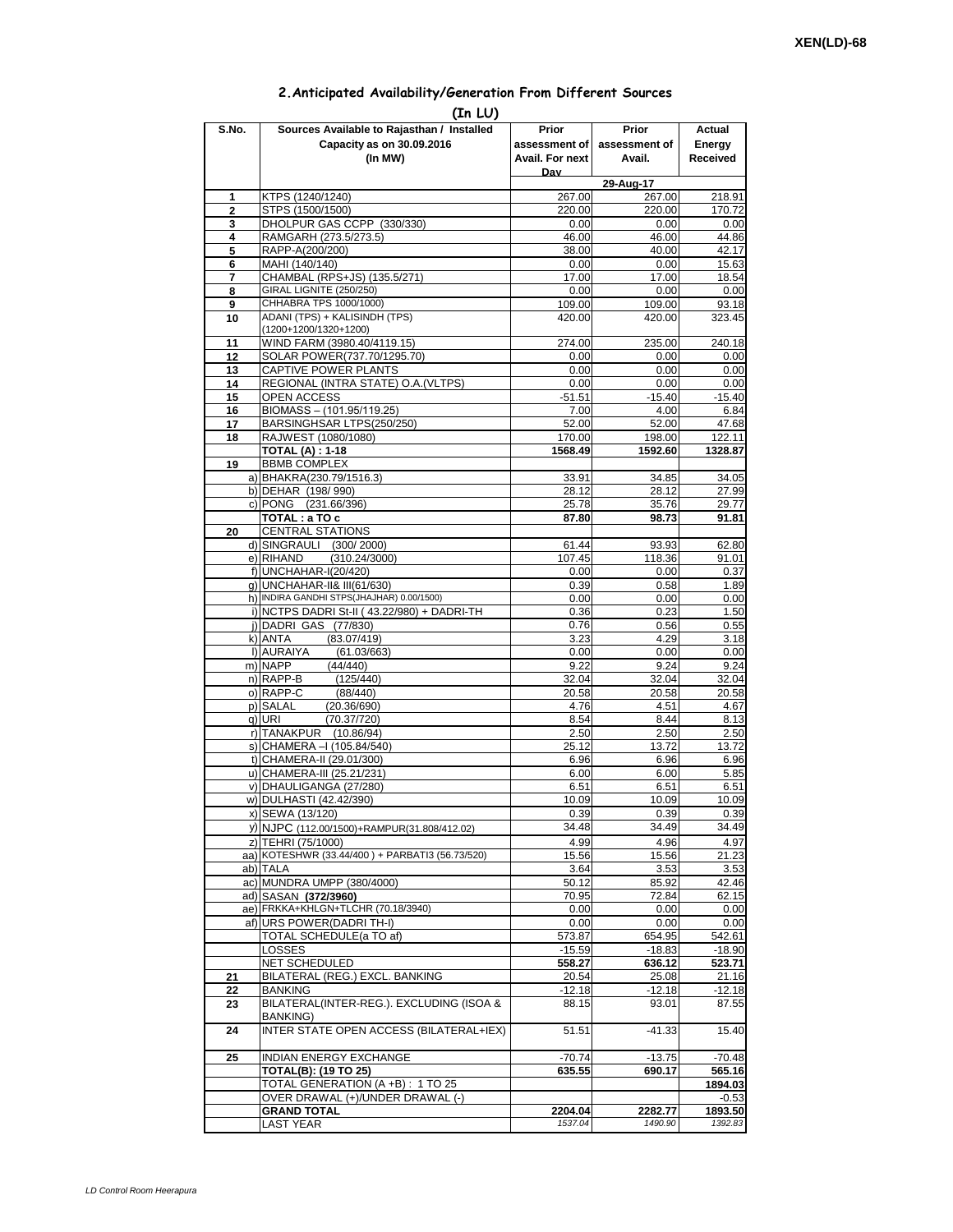## **2.Anticipated Availability/Generation From Different Sources**

| (In LU)        |                                                                          |                 |                     |                |  |  |  |  |  |
|----------------|--------------------------------------------------------------------------|-----------------|---------------------|----------------|--|--|--|--|--|
| S.No.          | Sources Available to Rajasthan / Installed                               | Prior           | Prior               | Actual         |  |  |  |  |  |
|                | Capacity as on 30.09.2016                                                | assessment of I | assessment of       | Energy         |  |  |  |  |  |
|                | (In MW)                                                                  | Avail. For next | Avail.              | Received       |  |  |  |  |  |
|                |                                                                          | Dav             |                     |                |  |  |  |  |  |
| 1              | KTPS (1240/1240)                                                         | 267.00          | 29-Aug-17<br>267.00 | 218.91         |  |  |  |  |  |
| $\overline{2}$ | STPS (1500/1500)                                                         | 220.00          | 220.00              | 170.72         |  |  |  |  |  |
| 3              | DHOLPUR GAS CCPP (330/330)                                               | 0.00            | 0.00                | 0.00           |  |  |  |  |  |
| 4              | RAMGARH (273.5/273.5)                                                    | 46.00           | 46.00               | 44.86          |  |  |  |  |  |
| 5              | RAPP-A(200/200)                                                          | 38.00           | 40.00               | 42.17          |  |  |  |  |  |
| 6              | MAHI (140/140)                                                           | 0.00            | 0.00                | 15.63          |  |  |  |  |  |
| 7<br>8         | CHAMBAL (RPS+JS) (135.5/271)<br>GIRAL LIGNITE (250/250)                  | 17.00<br>0.00   | 17.00<br>0.00       | 18.54<br>0.00  |  |  |  |  |  |
| 9              | CHHABRA TPS 1000/1000)                                                   | 109.00          | 109.00              | 93.18          |  |  |  |  |  |
| 10             | ADANI (TPS) + KALISINDH (TPS)                                            | 420.00          | 420.00              | 323.45         |  |  |  |  |  |
|                | (1200+1200/1320+1200)                                                    |                 |                     |                |  |  |  |  |  |
| 11             | WIND FARM (3980.40/4119.15)                                              | 274.00          | 235.00              | 240.18         |  |  |  |  |  |
| 12             | SOLAR POWER(737.70/1295.70)                                              | 0.00            | 0.00                | 0.00           |  |  |  |  |  |
| 13<br>14       | CAPTIVE POWER PLANTS<br>REGIONAL (INTRA STATE) O.A. (VLTPS)              | 0.00<br>0.00    | 0.00<br>0.00        | 0.00<br>0.00   |  |  |  |  |  |
| 15             | <b>OPEN ACCESS</b>                                                       | $-51.51$        | $-15.40$            | $-15.40$       |  |  |  |  |  |
| 16             | BIOMASS - (101.95/119.25)                                                | 7.00            | 4.00                | 6.84           |  |  |  |  |  |
| 17             | BARSINGHSAR LTPS(250/250)                                                | 52.00           | 52.00               | 47.68          |  |  |  |  |  |
| 18             | RAJWEST (1080/1080)                                                      | 170.00          | 198.00              | 122.11         |  |  |  |  |  |
|                | <b>TOTAL (A): 1-18</b>                                                   | 1568.49         | 1592.60             | 1328.87        |  |  |  |  |  |
| 19             | <b>BBMB COMPLEX</b>                                                      |                 |                     |                |  |  |  |  |  |
|                | a) BHAKRA(230.79/1516.3)<br>b) DEHAR (198/990)                           | 33.91<br>28.12  | 34.85<br>28.12      | 34.05<br>27.99 |  |  |  |  |  |
|                | c) PONG (231.66/396)                                                     | 25.78           | 35.76               | 29.77          |  |  |  |  |  |
|                | TOTAL: a TO c                                                            | 87.80           | 98.73               | 91.81          |  |  |  |  |  |
| 20             | <b>CENTRAL STATIONS</b>                                                  |                 |                     |                |  |  |  |  |  |
|                | d) SINGRAULI (300/2000)                                                  | 61.44           | 93.93               | 62.80          |  |  |  |  |  |
|                | e) RIHAND<br>(310.24/3000)                                               | 107.45          | 118.36              | 91.01          |  |  |  |  |  |
|                | f) UNCHAHAR-I(20/420)                                                    | 0.00            | 0.00                | 0.37           |  |  |  |  |  |
|                | g) UNCHAHAR-II& III(61/630)<br>h) INDIRA GANDHI STPS(JHAJHAR) 0.00/1500) | 0.39<br>0.00    | 0.58<br>0.00        | 1.89<br>0.00   |  |  |  |  |  |
|                | i) NCTPS DADRI St-II (43.22/980) + DADRI-TH                              | 0.36            | 0.23                | 1.50           |  |  |  |  |  |
|                | j) DADRI GAS (77/830)                                                    | 0.76            | 0.56                | 0.55           |  |  |  |  |  |
|                | (83.07/419)<br>k) ANTA                                                   | 3.23            | 4.29                | 3.18           |  |  |  |  |  |
|                | I) AURAIYA<br>(61.03/663)                                                | 0.00            | 0.00                | 0.00           |  |  |  |  |  |
|                | m) NAPP<br>(44/440)                                                      | 9.22            | 9.24                | 9.24           |  |  |  |  |  |
|                | n) RAPP-B<br>(125/440)<br>o) RAPP-C<br>(88/440)                          | 32.04<br>20.58  | 32.04<br>20.58      | 32.04<br>20.58 |  |  |  |  |  |
|                | p) SALAL<br>(20.36/690)                                                  | 4.76            | 4.51                | 4.67           |  |  |  |  |  |
|                | q) URI<br>(70.37/720)                                                    | 8.54            | 8.44                | 8.13           |  |  |  |  |  |
|                | r) TANAKPUR<br>(10.86/94)                                                | 2.50            | 2.50                | 2.50           |  |  |  |  |  |
|                | s) CHAMERA - (105.84/540)                                                | 25.12           | 13.72               | 13.72          |  |  |  |  |  |
|                | t) CHAMERA-II (29.01/300)                                                | 6.96            | 6.96                | 6.96           |  |  |  |  |  |
|                | u) CHAMERA-III (25.21/231)                                               | 6.00            | 6.00                | 5.85           |  |  |  |  |  |
|                | v) DHAULIGANGA (27/280)<br>w) DULHASTI (42.42/390)                       | 6.51<br>10.09   | 6.51<br>10.09       | 6.51<br>10.09  |  |  |  |  |  |
|                | x) SEWA (13/120)                                                         | 0.39            | 0.39                | 0.39           |  |  |  |  |  |
|                | y) NJPC (112.00/1500)+RAMPUR(31.808/412.02)                              | 34.48           | 34.49               | 34.49          |  |  |  |  |  |
|                | z) TEHRI (75/1000)                                                       | 4.99            | 4.96                | 4.97           |  |  |  |  |  |
|                | aa) KOTESHWR (33.44/400) + PARBATI3 (56.73/520)                          | 15.56           | 15.56               | 21.23          |  |  |  |  |  |
|                | ab) TALA                                                                 | 3.64            | 3.53                | 3.53           |  |  |  |  |  |
|                | ac) MUNDRA UMPP (380/4000)                                               | 50.12           | 85.92               | 42.46          |  |  |  |  |  |
|                | ad) SASAN (372/3960)<br>ae) FRKKA+KHLGN+TLCHR (70.18/3940)               | 70.95           | 72.84               | 62.15          |  |  |  |  |  |
|                | af) URS POWER(DADRITH-I)                                                 | 0.00<br>0.00    | 0.00<br>0.00        | 0.00<br>0.00   |  |  |  |  |  |
|                | TOTAL SCHEDULE(a TO af)                                                  | 573.87          | 654.95              | 542.61         |  |  |  |  |  |
|                | LOSSES                                                                   | $-15.59$        | $-18.83$            | $-18.90$       |  |  |  |  |  |
|                | NET SCHEDULED                                                            | 558.27          | 636.12              | 523.71         |  |  |  |  |  |
| 21             | BILATERAL (REG.) EXCL. BANKING                                           | 20.54           | 25.08               | 21.16          |  |  |  |  |  |
| 22             | BANKING                                                                  | $-12.18$        | -12.18              | -12.18         |  |  |  |  |  |
| 23             | BILATERAL(INTER-REG.). EXCLUDING (ISOA &<br>BANKING)                     | 88.15           | 93.01               | 87.55          |  |  |  |  |  |
| 24             | INTER STATE OPEN ACCESS (BILATERAL+IEX)                                  | 51.51           | $-41.33$            | 15.40          |  |  |  |  |  |
| 25             | <b>INDIAN ENERGY EXCHANGE</b>                                            | $-70.74$        | $-13.75$            | $-70.48$       |  |  |  |  |  |
|                | <b>TOTAL(B): (19 TO 25)</b>                                              | 635.55          | 690.17              | 565.16         |  |  |  |  |  |
|                | TOTAL GENERATION (A +B) : 1 TO 25                                        |                 |                     | 1894.03        |  |  |  |  |  |
|                | OVER DRAWAL (+)/UNDER DRAWAL (-)                                         |                 |                     | $-0.53$        |  |  |  |  |  |
|                | <b>GRAND TOTAL</b>                                                       | 2204.04         | 2282.77             | 1893.50        |  |  |  |  |  |
|                | <b>LAST YEAR</b>                                                         | 1537.04         | 1490.90             | 1392.83        |  |  |  |  |  |